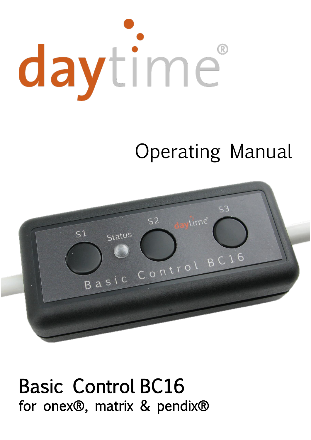# daytime

# Operating Manual



# Basic Control BC16 for onex®, matrix & pendix®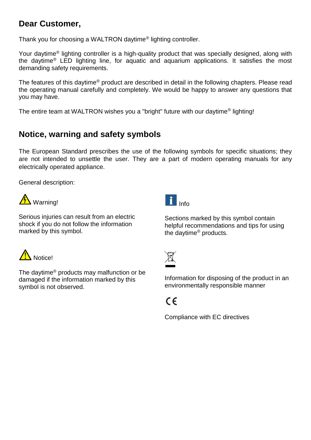### **Dear Customer,**

Thank you for choosing a WALTRON daytime® lighting controller.

Your daytime® lighting controller is a high-quality product that was specially designed, along with the daytime® LED lighting line, for aquatic and aquarium applications. It satisfies the most demanding safety requirements.

The features of this daytime® product are described in detail in the following chapters. Please read the operating manual carefully and completely. We would be happy to answer any questions that you may have.

The entire team at WALTRON wishes you a "bright" future with our daytime® lighting!

### **Notice, warning and safety symbols**

The European Standard prescribes the use of the following symbols for specific situations; they are not intended to unsettle the user. They are a part of modern operating manuals for any electrically operated appliance.

General description:



Serious injuries can result from an electric shock if you do not follow the information marked by this symbol.



Sections marked by this symbol contain helpful recommendations and tips for using the daytime® products.



The daytime® products may malfunction or be damaged if the information marked by this symbol is not observed.



Information for disposing of the product in an environmentally responsible manner

## $\epsilon$

Compliance with EC directives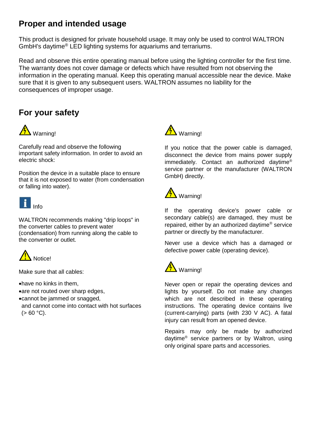### **Proper and intended usage**

This product is designed for private household usage. It may only be used to control WALTRON GmbH's daytime® LED lighting systems for aquariums and terrariums.

Read and observe this entire operating manual before using the lighting controller for the first time. The warranty does not cover damage or defects which have resulted from not observing the information in the operating manual. Keep this operating manual accessible near the device. Make sure that it is given to any subsequent users. WALTRON assumes no liability for the consequences of improper usage.

### **For your safety**



Carefully read and observe the following important safety information. In order to avoid an electric shock:

Position the device in a suitable place to ensure that it is not exposed to water (from condensation or falling into water).



WALTRON recommends making "drip loops" in the converter cables to prevent water (condensation) from running along the cable to the converter or outlet.



Make sure that all cables:

have no kinks in them,

- are not routed over sharp edges,
- cannot be jammed or snagged,
- and cannot come into contact with hot surfaces  $(> 60 °C)$ .



If you notice that the power cable is damaged, disconnect the device from mains power supply immediately. Contact an authorized daytime® service partner or the manufacturer (WALTRON GmbH) directly.



If the operating device's power cable or secondary cable(s) are damaged, they must be repaired, either by an authorized daytime® service partner or directly by the manufacturer.

Never use a device which has a damaged or defective power cable (operating device).



Never open or repair the operating devices and lights by yourself. Do not make any changes which are not described in these operating instructions. The operating device contains live (current-carrying) parts (with 230 V AC). A fatal injury can result from an opened device.

Repairs may only be made by authorized daytime® service partners or by Waltron, using only original spare parts and accessories.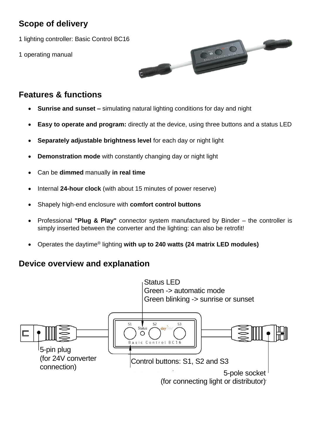### **Scope of delivery**

1 lighting controller: Basic Control BC16

1 operating manual



### **Features & functions**

- **Sunrise and sunset –** simulating natural lighting conditions for day and night
- **Easy to operate and program:** directly at the device, using three buttons and a status LED
- **Separately adjustable brightness level** for each day or night light
- **Demonstration mode** with constantly changing day or night light
- Can be **dimmed** manually **in real time**
- Internal **24-hour clock** (with about 15 minutes of power reserve)
- Shapely high-end enclosure with **comfort control buttons**
- Professional **"Plug & Play"** connector system manufactured by Binder the controller is simply inserted between the converter and the lighting: can also be retrofit!
- Operates the daytime® lighting **with up to 240 watts (24 matrix LED modules)**

### **Device overview and explanation**

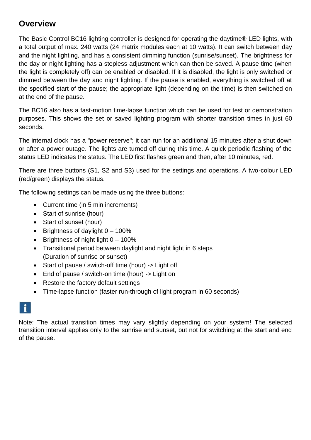### **Overview**

The Basic Control BC16 lighting controller is designed for operating the daytime® LED lights, with a total output of max. 240 watts (24 matrix modules each at 10 watts). It can switch between day and the night lighting, and has a consistent dimming function (sunrise/sunset). The brightness for the day or night lighting has a stepless adjustment which can then be saved. A pause time (when the light is completely off) can be enabled or disabled. If it is disabled, the light is only switched or dimmed between the day and night lighting. If the pause is enabled, everything is switched off at the specified start of the pause; the appropriate light (depending on the time) is then switched on at the end of the pause.

The BC16 also has a fast-motion time-lapse function which can be used for test or demonstration purposes. This shows the set or saved lighting program with shorter transition times in just 60 seconds.

The internal clock has a "power reserve"; it can run for an additional 15 minutes after a shut down or after a power outage. The lights are turned off during this time. A quick periodic flashing of the status LED indicates the status. The LED first flashes green and then, after 10 minutes, red.

There are three buttons (S1, S2 and S3) used for the settings and operations. A two-colour LED (red/green) displays the status.

The following settings can be made using the three buttons:

- Current time (in 5 min increments)
- Start of sunrise (hour)
- Start of sunset (hour)
- $\bullet$  Brightness of daylight  $0 100\%$
- $\bullet$  Brightness of night light  $0 100\%$
- Transitional period between daylight and night light in 6 steps (Duration of sunrise or sunset)
- Start of pause / switch-off time (hour) -> Light off
- End of pause / switch-on time (hour) -> Light on
- Restore the factory default settings
- Time-lapse function (faster run-through of light program in 60 seconds)

Note: The actual transition times may vary slightly depending on your system! The selected transition interval applies only to the sunrise and sunset, but not for switching at the start and end of the pause.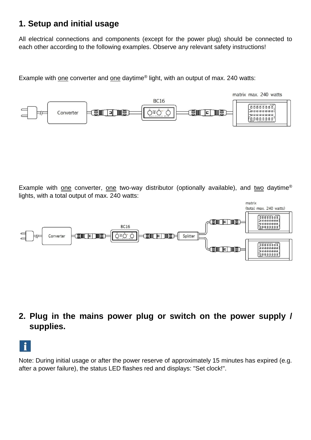### **1. Setup and initial usage**

All electrical connections and components (except for the power plug) should be connected to each other according to the following examples. Observe any relevant safety instructions!

Example with one converter and one daytime® light, with an output of max. 240 watts:



Example with one converter, one two-way distributor (optionally available), and two daytime® lights, with a total output of max. 240 watts:



**2. Plug in the mains power plug or switch on the power supply / supplies.**



Note: During initial usage or after the power reserve of approximately 15 minutes has expired (e.g. after a power failure), the status LED flashes red and displays: "Set clock!".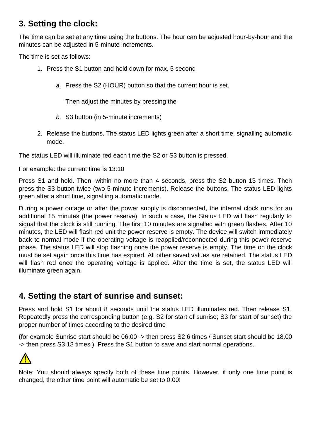### **3. Setting the clock:**

The time can be set at any time using the buttons. The hour can be adjusted hour-by-hour and the minutes can be adjusted in 5-minute increments.

The time is set as follows:

- 1. Press the S1 button and hold down for max. 5 second
	- *a.* Press the S2 (HOUR) button so that the current hour is set.

Then adjust the minutes by pressing the

- *b.* S3 button (in 5-minute increments)
- 2. Release the buttons. The status LED lights green after a short time, signalling automatic mode.

The status LED will illuminate red each time the S2 or S3 button is pressed.

For example: the current time is 13:10

Press S1 and hold. Then, within no more than 4 seconds, press the S2 button 13 times. Then press the S3 button twice (two 5-minute increments). Release the buttons. The status LED lights green after a short time, signalling automatic mode.

During a power outage or after the power supply is disconnected, the internal clock runs for an additional 15 minutes (the power reserve). In such a case, the Status LED will flash regularly to signal that the clock is still running. The first 10 minutes are signalled with green flashes. After 10 minutes, the LED will flash red unit the power reserve is empty. The device will switch immediately back to normal mode if the operating voltage is reapplied/reconnected during this power reserve phase. The status LED will stop flashing once the power reserve is empty. The time on the clock must be set again once this time has expired. All other saved values are retained. The status LED will flash red once the operating voltage is applied. After the time is set, the status LED will illuminate green again.

### **4. Setting the start of sunrise and sunset:**

Press and hold S1 for about 8 seconds until the status LED illuminates red. Then release S1. Repeatedly press the corresponding button (e.g. S2 for start of sunrise; S3 for start of sunset) the proper number of times according to the desired time

(for example Sunrise start should be 06:00 -> then press S2 6 times / Sunset start should be 18.00 -> then press S3 18 times ). Press the S1 button to save and start normal operations.



Note: You should always specify both of these time points. However, if only one time point is changed, the other time point will automatic be set to 0:00!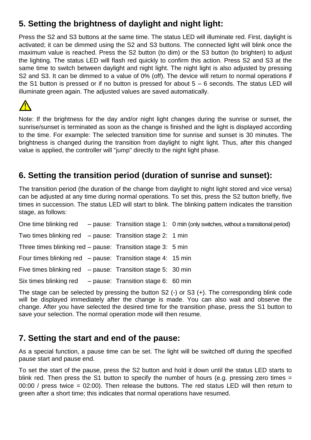### **5. Setting the brightness of daylight and night light:**

Press the S2 and S3 buttons at the same time. The status LED will illuminate red. First, daylight is activated; it can be dimmed using the S2 and S3 buttons. The connected light will blink once the maximum value is reached. Press the S2 button (to dim) or the S3 button (to brighten) to adjust the lighting. The status LED will flash red quickly to confirm this action. Press S2 and S3 at the same time to switch between daylight and night light. The night light is also adjusted by pressing S2 and S3. It can be dimmed to a value of 0% (off). The device will return to normal operations if the S1 button is pressed or if no button is pressed for about 5 – 6 seconds. The status LED will illuminate green again. The adjusted values are saved automatically.



Note: If the brightness for the day and/or night light changes during the sunrise or sunset, the sunrise/sunset is terminated as soon as the change is finished and the light is displayed according to the time. For example: The selected transition time for sunrise and sunset is 30 minutes. The brightness is changed during the transition from daylight to night light. Thus, after this changed value is applied, the controller will "jump" directly to the night light phase.

### **6. Setting the transition period (duration of sunrise and sunset):**

The transition period (the duration of the change from daylight to night light stored and vice versa) can be adjusted at any time during normal operations. To set this, press the S2 button briefly, five times in succession. The status LED will start to blink. The blinking pattern indicates the transition stage, as follows:

One time blinking red – pause: Transition stage 1: 0 min (only switches, without a transitional period) Two times blinking red – pause: Transition stage 2: 1 min Three times blinking red – pause: Transition stage 3: 5 min Four times blinking red – pause: Transition stage 4: 15 min Five times blinking red – pause: Transition stage 5: 30 min Six times blinking red – pause: Transition stage 6: 60 min

The stage can be selected by pressing the button S2 (-) or S3 (+). The corresponding blink code will be displayed immediately after the change is made. You can also wait and observe the change. After you have selected the desired time for the transition phase, press the S1 button to save your selection. The normal operation mode will then resume.

### **7. Setting the start and end of the pause:**

As a special function, a pause time can be set. The light will be switched off during the specified pause start and pause end.

To set the start of the pause, press the S2 button and hold it down until the status LED starts to blink red. Then press the S1 button to specify the number of hours (e.g. pressing zero times = 00:00 / press twice = 02:00). Then release the buttons. The red status LED will then return to green after a short time; this indicates that normal operations have resumed.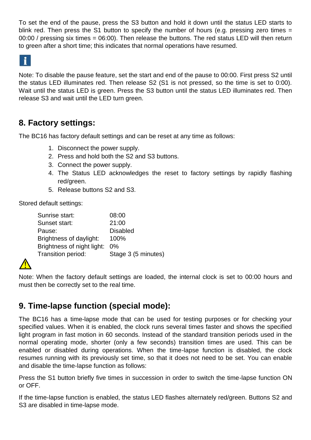To set the end of the pause, press the S3 button and hold it down until the status LED starts to blink red. Then press the S1 button to specify the number of hours (e.g. pressing zero times = 00:00 / pressing six times = 06:00). Then release the buttons. The red status LED will then return to green after a short time; this indicates that normal operations have resumed.

 $\mathbf{f}$ 

Note: To disable the pause feature, set the start and end of the pause to 00:00. First press S2 until the status LED illuminates red. Then release S2 (S1 is not pressed, so the time is set to 0:00). Wait until the status LED is green. Press the S3 button until the status LED illuminates red. Then release S3 and wait until the LED turn green.

### **8. Factory settings:**

The BC16 has factory default settings and can be reset at any time as follows:

- 1. Disconnect the power supply.
- 2. Press and hold both the S2 and S3 buttons.
- 3. Connect the power supply.
- 4. The Status LED acknowledges the reset to factory settings by rapidly flashing red/green.
- 5. Release buttons S2 and S3.

Stored default settings:

| Sunrise start:             | 08:00               |
|----------------------------|---------------------|
| Sunset start:              | 21:00               |
| Pause:                     | <b>Disabled</b>     |
| Brightness of daylight:    | 100%                |
| Brightness of night light: | $0\%$               |
| Transition period:         | Stage 3 (5 minutes) |
|                            |                     |



Note: When the factory default settings are loaded, the internal clock is set to 00:00 hours and must then be correctly set to the real time.

### **9. Time-lapse function (special mode):**

The BC16 has a time-lapse mode that can be used for testing purposes or for checking your specified values. When it is enabled, the clock runs several times faster and shows the specified light program in fast motion in 60 seconds. Instead of the standard transition periods used in the normal operating mode, shorter (only a few seconds) transition times are used. This can be enabled or disabled during operations. When the time-lapse function is disabled, the clock resumes running with its previously set time, so that it does not need to be set. You can enable and disable the time-lapse function as follows:

Press the S1 button briefly five times in succession in order to switch the time-lapse function ON or OFF.

If the time-lapse function is enabled, the status LED flashes alternately red/green. Buttons S2 and S3 are disabled in time-lapse mode.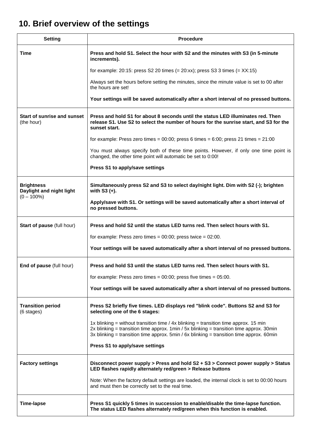### **10. Brief overview of the settings**

| <b>Setting</b>                                                 | <b>Procedure</b>                                                                                                                                                                                                                                                                   |  |
|----------------------------------------------------------------|------------------------------------------------------------------------------------------------------------------------------------------------------------------------------------------------------------------------------------------------------------------------------------|--|
| Time                                                           | Press and hold S1. Select the hour with S2 and the minutes with S3 (in 5-minute<br>increments).                                                                                                                                                                                    |  |
|                                                                | for example: $20:15$ : press S2 20 times $(= 20:xx)$ ; press S3 3 times $(= XX:15)$                                                                                                                                                                                                |  |
|                                                                | Always set the hours before setting the minutes, since the minute value is set to 00 after<br>the hours are set!                                                                                                                                                                   |  |
|                                                                | Your settings will be saved automatically after a short interval of no pressed buttons.                                                                                                                                                                                            |  |
| <b>Start of sunrise and sunset</b><br>(the hour)               | Press and hold S1 for about 8 seconds until the status LED illuminates red. Then<br>release S1. Use S2 to select the number of hours for the sunrise start, and S3 for the<br>sunset start.                                                                                        |  |
|                                                                | for example: Press zero times = $00:00$ ; press 6 times = $6:00$ ; press 21 times = $21:00$                                                                                                                                                                                        |  |
|                                                                | You must always specify both of these time points. However, if only one time point is<br>changed, the other time point will automatic be set to 0:00!                                                                                                                              |  |
|                                                                | Press S1 to apply/save settings                                                                                                                                                                                                                                                    |  |
| <b>Brightness</b><br>Daylight and night light<br>$(0 - 100\%)$ | Simultaneously press S2 and S3 to select day/night light. Dim with S2 (-); brighten<br>with $S3 (+)$ .                                                                                                                                                                             |  |
|                                                                | Apply/save with S1. Or settings will be saved automatically after a short interval of<br>no pressed buttons.                                                                                                                                                                       |  |
| Start of pause (full hour)                                     | Press and hold S2 until the status LED turns red. Then select hours with S1.                                                                                                                                                                                                       |  |
|                                                                | for example: Press zero times = $00:00$ ; press twice = $02:00$ .                                                                                                                                                                                                                  |  |
|                                                                | Your settings will be saved automatically after a short interval of no pressed buttons.                                                                                                                                                                                            |  |
| End of pause (full hour)                                       | Press and hold S3 until the status LED turns red. Then select hours with S1.                                                                                                                                                                                                       |  |
|                                                                | for example: Press zero times = $00:00$ ; press five times = $05:00$ .                                                                                                                                                                                                             |  |
|                                                                | Your settings will be saved automatically after a short interval of no pressed buttons.                                                                                                                                                                                            |  |
| <b>Transition period</b><br>(6 stages)                         | Press S2 briefly five times. LED displays red "blink code". Buttons S2 and S3 for<br>selecting one of the 6 stages:                                                                                                                                                                |  |
|                                                                | 1x blinking = without transition time / $4x$ blinking = transition time approx. 15 min<br>2x blinking = transition time approx. $1min / 5x$ blinking = transition time approx. 30min<br>3x blinking = transition time approx. $5min / 6x$ blinking = transition time approx. 60min |  |
|                                                                | Press S1 to apply/save settings                                                                                                                                                                                                                                                    |  |
| <b>Factory settings</b>                                        | Disconnect power supply > Press and hold S2 + S3 > Connect power supply > Status<br>LED flashes rapidly alternately red/green > Release buttons                                                                                                                                    |  |
|                                                                | Note: When the factory default settings are loaded, the internal clock is set to 00:00 hours<br>and must then be correctly set to the real time.                                                                                                                                   |  |
| <b>Time-lapse</b>                                              | Press S1 quickly 5 times in succession to enable/disable the time-lapse function.<br>The status LED flashes alternately red/green when this function is enabled.                                                                                                                   |  |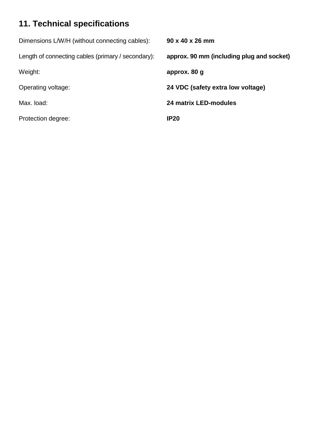### **11. Technical specifications**

| Dimensions L/W/H (without connecting cables):      | $90 \times 40 \times 26$ mm               |
|----------------------------------------------------|-------------------------------------------|
| Length of connecting cables (primary / secondary): | approx. 90 mm (including plug and socket) |
| Weight:                                            | approx. 80 g                              |
| Operating voltage:                                 | 24 VDC (safety extra low voltage)         |
| Max. load:                                         | <b>24 matrix LED-modules</b>              |
| Protection degree:                                 | <b>IP20</b>                               |